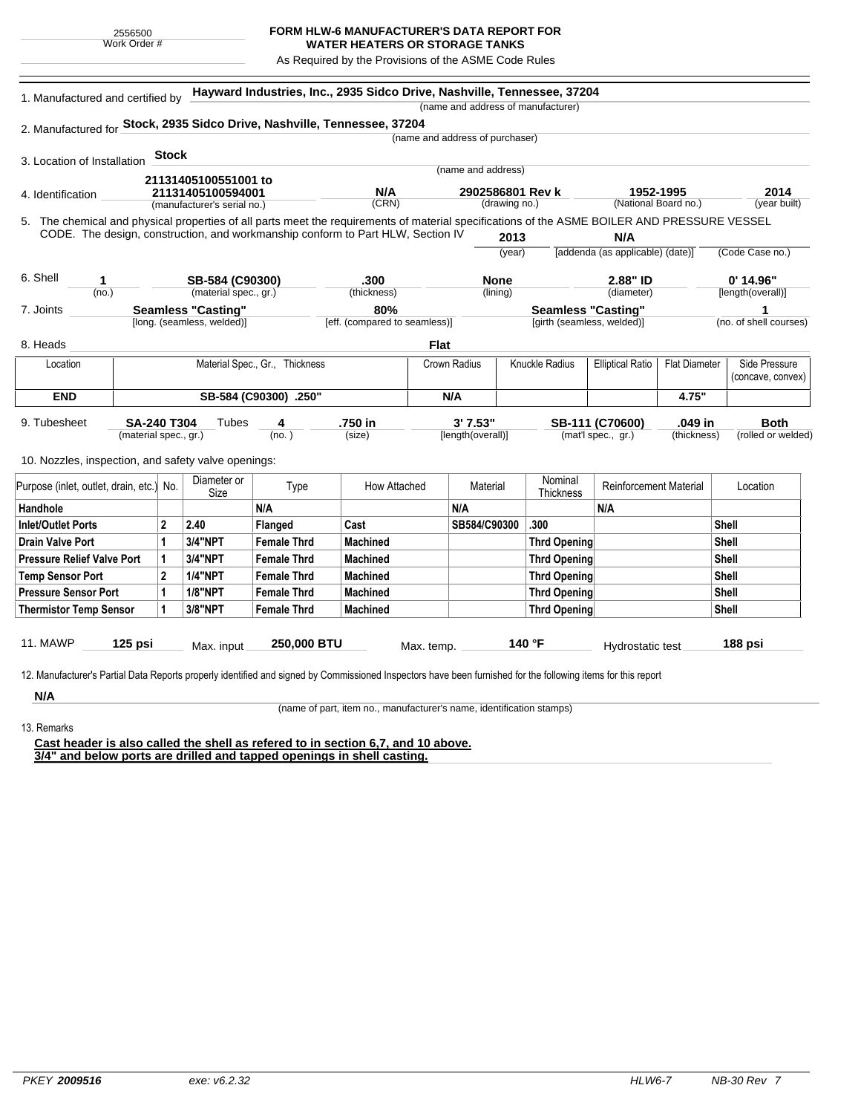## **FORM HLW-6 MANUFACTURER'S DATA REPORT FOR**

**WATER HEATERS OR STORAGE TANKS** As Required by the Provisions of the ASME Code Rules

5. (year built) **Hayward Industries, Inc., 2935 Sidco Drive, Nashville, Tennessee, 37204** 1. Manufactured and certified by 2. Manufactured for **Stock, 2935 Sidco Drive, Nashville, Tennessee, 37204** 3. Location of Installation 4. Identification (manufacturer's serial no.) (CRN) (drawing no.) (National Board no.) 11. MAWP **125 psi** Max. input **250,000 BTU** Max. temp. **140 °F** Hydrostatic test **188 psi** (material spec., gr.) 9. Tubesheet 10. Nozzles, inspection, and safety valve openings: **Stock** The chemical and physical properties of all parts meet the requirements of material specifications of the ASME BOILER AND PRESSURE VESSEL CODE. The design, construction, and workmanship conform to Part HLW, Section IV **2013** (year) (no.) (material spec., gr.) (thickness) 6. Shell 7. Joints 8. Heads [long. (seamless, welded)] [eff. (compared to seamless)] [girth (seamless, welded)] (no. of shell courses) **N/A** [addenda (as applicable) (date)] (Code Case no.) (diameter) [length(overall)] (name and address of manufacturer) (name and address of purchaser) (name and address) (lining)  $(no. )$ **Tubes** (size) [length(overall)] (mat'l spec., gr.) (thickness) (rolled or welded) **1952-1995 2014 21131405100551001 to 21131405100594001 N/A 2902586801 Rev k 1 SB-584 (C90300) .300 None 2.88" ID 0' 14.96" Seamless "Casting" 80% Seamless "Casting" 1 SA-240 T304 4 .750 in 3' 7.53" SB-111 (C70600) .049 in Both Flat** Location | Material Spec., Gr., Thickness | Crown Radius | Knuckle Radius | Elliptical Ratio | Flat Diameter | Side Pressure (concave, convex) **END SB-584 (C90300) .250" N/A 4.75"** Purpose (inlet, outlet, drain, etc.) No.  $\begin{array}{|c|c|} \hline \text{Diameter or } \\ \text{Size} \end{array}$ meter or **Type** How Attached Material Nominal<br>Size Thicknes Nominal Reinforcement Material Location Handhole N/A N/A N/A Inlet/Outlet Ports 2 2.40 Flanged Cast SB584/C90300 .300 Shell Drain Valve Port |1 |3/4"NPT |Female Thrd |Machined |Thrd Opening |Shell Pressure Relief Valve Port | 1 | 3/4"NPT | Female Thrd | Machined | Thrd Opening | Thrd Opening | Shell Temp Sensor Port |2 |1/4"NPT | Female Thrd | Machined | Shell Pressure Sensor Port | 1 | 1/8"NPT | Female Thrd | Machined | Thrd Opening | Thrd Opening | Shell Thermistor Temp Sensor | 1 | 3/8"NPT | Female Thrd | Machined Three Three Thrd Opening | Thrd Opening | Shell

12. Manufacturer's Partial Data Reports properly identified and signed by Commissioned Inspectors have been furnished for the following items for this report

**N/A** 13. Remarks

(name of part, item no., manufacturer's name, identification stamps)

**Cast header is also called the shell as refered to in section 6,7, and 10 above. 3/4" and below ports are drilled and tapped openings in shell casting.**